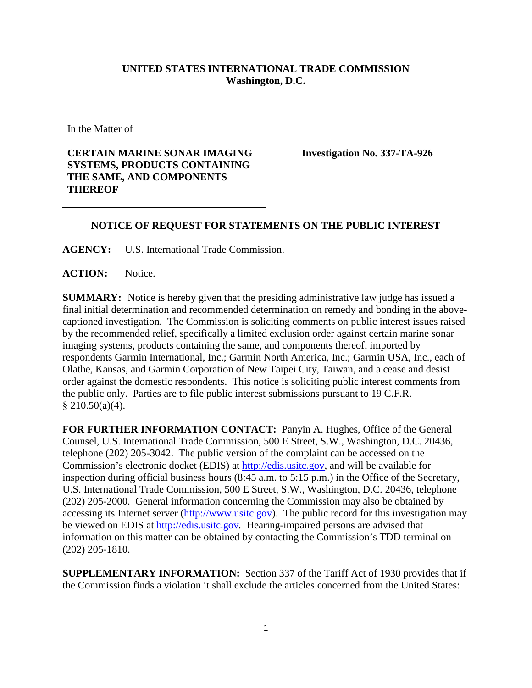## **UNITED STATES INTERNATIONAL TRADE COMMISSION Washington, D.C.**

In the Matter of

## **CERTAIN MARINE SONAR IMAGING SYSTEMS, PRODUCTS CONTAINING THE SAME, AND COMPONENTS THEREOF**

**Investigation No. 337-TA-926**

## **NOTICE OF REQUEST FOR STATEMENTS ON THE PUBLIC INTEREST**

**AGENCY:** U.S. International Trade Commission.

**ACTION:** Notice.

**SUMMARY:** Notice is hereby given that the presiding administrative law judge has issued a final initial determination and recommended determination on remedy and bonding in the abovecaptioned investigation. The Commission is soliciting comments on public interest issues raised by the recommended relief, specifically a limited exclusion order against certain marine sonar imaging systems, products containing the same, and components thereof, imported by respondents Garmin International, Inc.; Garmin North America, Inc.; Garmin USA, Inc., each of Olathe, Kansas, and Garmin Corporation of New Taipei City, Taiwan, and a cease and desist order against the domestic respondents. This notice is soliciting public interest comments from the public only. Parties are to file public interest submissions pursuant to 19 C.F.R.  $§ 210.50(a)(4).$ 

**FOR FURTHER INFORMATION CONTACT:** Panyin A. Hughes, Office of the General Counsel, U.S. International Trade Commission, 500 E Street, S.W., Washington, D.C. 20436, telephone (202) 205-3042. The public version of the complaint can be accessed on the Commission's electronic docket (EDIS) at [http://edis.usitc.gov,](http://edis.usitc.gov/) and will be available for inspection during official business hours (8:45 a.m. to 5:15 p.m.) in the Office of the Secretary, U.S. International Trade Commission, 500 E Street, S.W., Washington, D.C. 20436, telephone (202) 205-2000. General information concerning the Commission may also be obtained by accessing its Internet server [\(http://www.usitc.gov\)](http://www.usitc.gov/). The public record for this investigation may be viewed on EDIS at [http://edis.usitc.gov](http://edis.usitc.gov/)*.* Hearing-impaired persons are advised that information on this matter can be obtained by contacting the Commission's TDD terminal on (202) 205-1810.

**SUPPLEMENTARY INFORMATION:** Section 337 of the Tariff Act of 1930 provides that if the Commission finds a violation it shall exclude the articles concerned from the United States: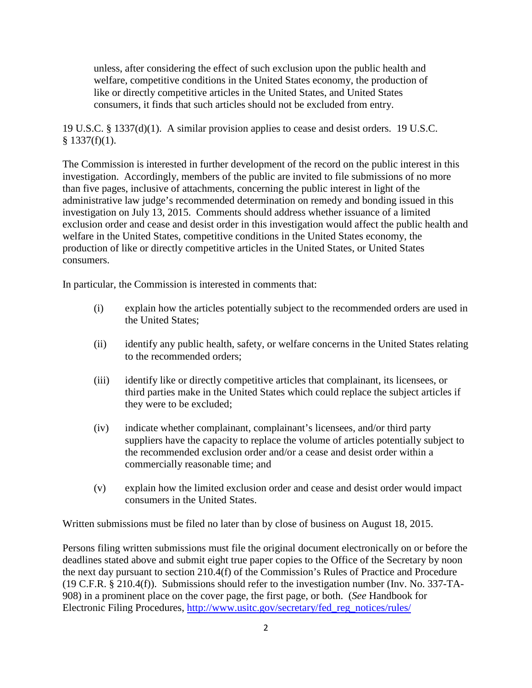unless, after considering the effect of such exclusion upon the public health and welfare, competitive conditions in the United States economy, the production of like or directly competitive articles in the United States, and United States consumers, it finds that such articles should not be excluded from entry.

19 U.S.C. § 1337(d)(1). A similar provision applies to cease and desist orders. 19 U.S.C.  $§$  1337(f)(1).

The Commission is interested in further development of the record on the public interest in this investigation. Accordingly, members of the public are invited to file submissions of no more than five pages, inclusive of attachments, concerning the public interest in light of the administrative law judge's recommended determination on remedy and bonding issued in this investigation on July 13, 2015. Comments should address whether issuance of a limited exclusion order and cease and desist order in this investigation would affect the public health and welfare in the United States, competitive conditions in the United States economy, the production of like or directly competitive articles in the United States, or United States consumers.

In particular, the Commission is interested in comments that:

- (i) explain how the articles potentially subject to the recommended orders are used in the United States;
- (ii) identify any public health, safety, or welfare concerns in the United States relating to the recommended orders;
- (iii) identify like or directly competitive articles that complainant, its licensees, or third parties make in the United States which could replace the subject articles if they were to be excluded;
- (iv) indicate whether complainant, complainant's licensees, and/or third party suppliers have the capacity to replace the volume of articles potentially subject to the recommended exclusion order and/or a cease and desist order within a commercially reasonable time; and
- (v) explain how the limited exclusion order and cease and desist order would impact consumers in the United States.

Written submissions must be filed no later than by close of business on August 18, 2015.

Persons filing written submissions must file the original document electronically on or before the deadlines stated above and submit eight true paper copies to the Office of the Secretary by noon the next day pursuant to section 210.4(f) of the Commission's Rules of Practice and Procedure (19 C.F.R. § 210.4(f)). Submissions should refer to the investigation number (Inv. No. 337-TA-908) in a prominent place on the cover page, the first page, or both. (*See* Handbook for Electronic Filing Procedures, [http://www.usitc.gov/secretary/fed\\_reg\\_notices/rules/](http://www.usitc.gov/secretary/fed_reg_notices/rules/handbook_on_electronic_filing.pdf)